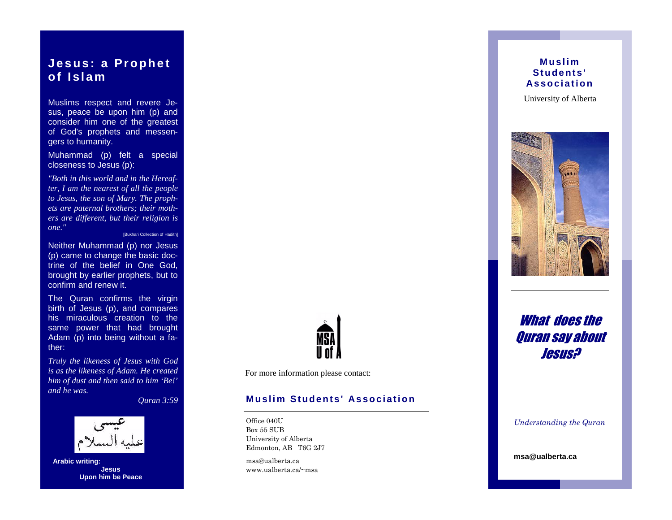# **Jesus: a Prophet** of Islam

Muslims respect and revere J esus, peace be upon him (p) and consider him one of the greatest of God's prophets and messe ngerstohumanity.

Muhammad (p) felt a special closenesstoJesus(p):

"BothinthisworldandintheHerea  $-f$ ter, Iamthenearest of all the people to Jesus, the son of Mary. The prop  $h$ etsarepaternalbrothers; theirmot  $h$ ers are different, but their religion is one." [BukhariCollectionofHadith]

Neither Muhammad (p) nor Jesus (p)cametochangethebasicdo ctrine of the belief in One God, broughtbyearlierprophets, butto confirmandrenewit.

The Quran confirms the virgin birth of Jesus (p), and compares his miraculous creation to the same power that had brought Adam (p) into being without  $af$  ather:

Truly the likeness of Jesus with God isasthelikenessofAdam.Hecreated himofdustandthensaidtohim'Be!' andhe was.

 $Quran3:59$ 



**Arabicwriting: Jesus UponhimbePeace** 



Formoreinformationpleasecontact:

## **Muslim Students' Association**

Office 040U Box 55 SUB University of Alberta Edmonton, AB T6G 2J7

msa@ualberta.ca www ualberta  $ca/\sim$ msa

## **Muslim** Students' **Association**

UniversityofAlberta



# What does the Ouran say about *Jesus?*

Understanding the Quran

msa@ualberta.ca